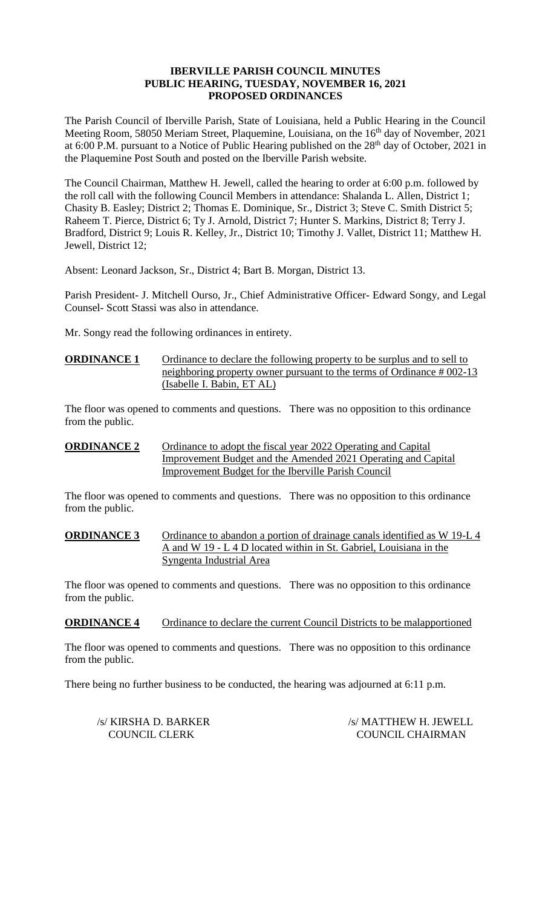#### **IBERVILLE PARISH COUNCIL MINUTES PUBLIC HEARING, TUESDAY, NOVEMBER 16, 2021 PROPOSED ORDINANCES**

The Parish Council of Iberville Parish, State of Louisiana, held a Public Hearing in the Council Meeting Room, 58050 Meriam Street, Plaquemine, Louisiana, on the 16<sup>th</sup> day of November, 2021 at 6:00 P.M. pursuant to a Notice of Public Hearing published on the 28<sup>th</sup> day of October, 2021 in the Plaquemine Post South and posted on the Iberville Parish website.

The Council Chairman, Matthew H. Jewell, called the hearing to order at 6:00 p.m. followed by the roll call with the following Council Members in attendance: Shalanda L. Allen, District 1; Chasity B. Easley; District 2; Thomas E. Dominique, Sr., District 3; Steve C. Smith District 5; Raheem T. Pierce, District 6; Ty J. Arnold, District 7; Hunter S. Markins, District 8; Terry J. Bradford, District 9; Louis R. Kelley, Jr., District 10; Timothy J. Vallet, District 11; Matthew H. Jewell, District 12;

Absent: Leonard Jackson, Sr., District 4; Bart B. Morgan, District 13.

Parish President- J. Mitchell Ourso, Jr., Chief Administrative Officer- Edward Songy, and Legal Counsel- Scott Stassi was also in attendance.

Mr. Songy read the following ordinances in entirety.

## **ORDINANCE 1** Ordinance to declare the following property to be surplus and to sell to neighboring property owner pursuant to the terms of Ordinance # 002-13 (Isabelle I. Babin, ET AL)

The floor was opened to comments and questions. There was no opposition to this ordinance from the public.

#### **ORDINANCE 2** Ordinance to adopt the fiscal year 2022 Operating and Capital Improvement Budget and the Amended 2021 Operating and Capital Improvement Budget for the Iberville Parish Council

The floor was opened to comments and questions. There was no opposition to this ordinance from the public.

**ORDINANCE 3** Ordinance to abandon a portion of drainage canals identified as W 19-L 4 A and W 19 - L 4 D located within in St. Gabriel, Louisiana in the Syngenta Industrial Area

The floor was opened to comments and questions. There was no opposition to this ordinance from the public.

**ORDINANCE 4** Ordinance to declare the current Council Districts to be malapportioned

The floor was opened to comments and questions. There was no opposition to this ordinance from the public.

There being no further business to be conducted, the hearing was adjourned at 6:11 p.m.

/s/ KIRSHA D. BARKER /s/ MATTHEW H. JEWELL<br>COUNCIL CLERK /s/ MATTHEW H. JEWELL COUNCIL CHAIRMAN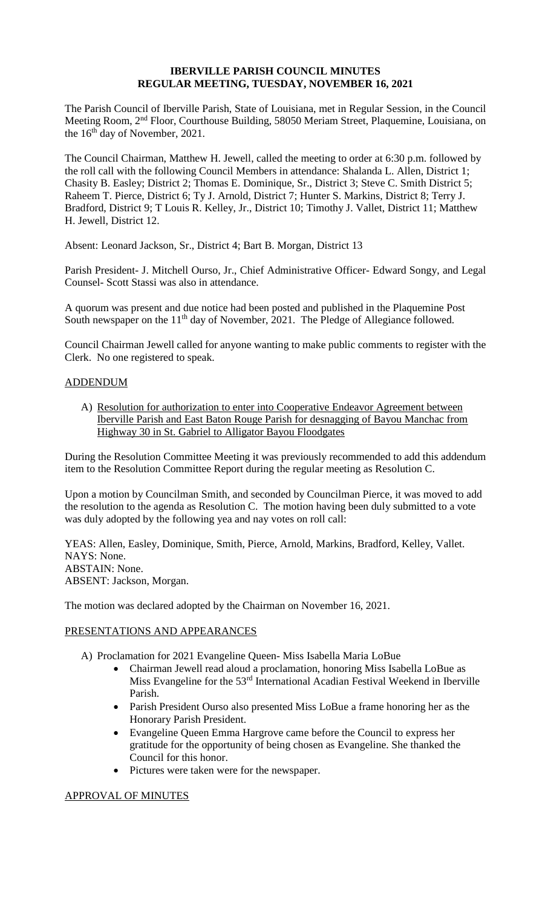#### **IBERVILLE PARISH COUNCIL MINUTES REGULAR MEETING, TUESDAY, NOVEMBER 16, 2021**

The Parish Council of Iberville Parish, State of Louisiana, met in Regular Session, in the Council Meeting Room, 2nd Floor, Courthouse Building, 58050 Meriam Street, Plaquemine, Louisiana, on the  $16<sup>th</sup>$  day of November, 2021.

The Council Chairman, Matthew H. Jewell, called the meeting to order at 6:30 p.m. followed by the roll call with the following Council Members in attendance: Shalanda L. Allen, District 1; Chasity B. Easley; District 2; Thomas E. Dominique, Sr., District 3; Steve C. Smith District 5; Raheem T. Pierce, District 6; Ty J. Arnold, District 7; Hunter S. Markins, District 8; Terry J. Bradford, District 9; T Louis R. Kelley, Jr., District 10; Timothy J. Vallet, District 11; Matthew H. Jewell, District 12.

Absent: Leonard Jackson, Sr., District 4; Bart B. Morgan, District 13

Parish President- J. Mitchell Ourso, Jr., Chief Administrative Officer- Edward Songy, and Legal Counsel- Scott Stassi was also in attendance.

A quorum was present and due notice had been posted and published in the Plaquemine Post South newspaper on the  $11<sup>th</sup>$  day of November, 2021. The Pledge of Allegiance followed.

Council Chairman Jewell called for anyone wanting to make public comments to register with the Clerk. No one registered to speak.

#### ADDENDUM

A) Resolution for authorization to enter into Cooperative Endeavor Agreement between Iberville Parish and East Baton Rouge Parish for desnagging of Bayou Manchac from Highway 30 in St. Gabriel to Alligator Bayou Floodgates

During the Resolution Committee Meeting it was previously recommended to add this addendum item to the Resolution Committee Report during the regular meeting as Resolution C.

Upon a motion by Councilman Smith, and seconded by Councilman Pierce, it was moved to add the resolution to the agenda as Resolution C. The motion having been duly submitted to a vote was duly adopted by the following yea and nay votes on roll call:

YEAS: Allen, Easley, Dominique, Smith, Pierce, Arnold, Markins, Bradford, Kelley, Vallet. NAYS: None. ABSTAIN: None. ABSENT: Jackson, Morgan.

The motion was declared adopted by the Chairman on November 16, 2021.

#### PRESENTATIONS AND APPEARANCES

- A) Proclamation for 2021 Evangeline Queen- Miss Isabella Maria LoBue
	- Chairman Jewell read aloud a proclamation, honoring Miss Isabella LoBue as Miss Evangeline for the 53rd International Acadian Festival Weekend in Iberville Parish.
	- Parish President Ourso also presented Miss LoBue a frame honoring her as the Honorary Parish President.
	- Evangeline Queen Emma Hargrove came before the Council to express her gratitude for the opportunity of being chosen as Evangeline. She thanked the Council for this honor.
	- Pictures were taken were for the newspaper.

#### APPROVAL OF MINUTES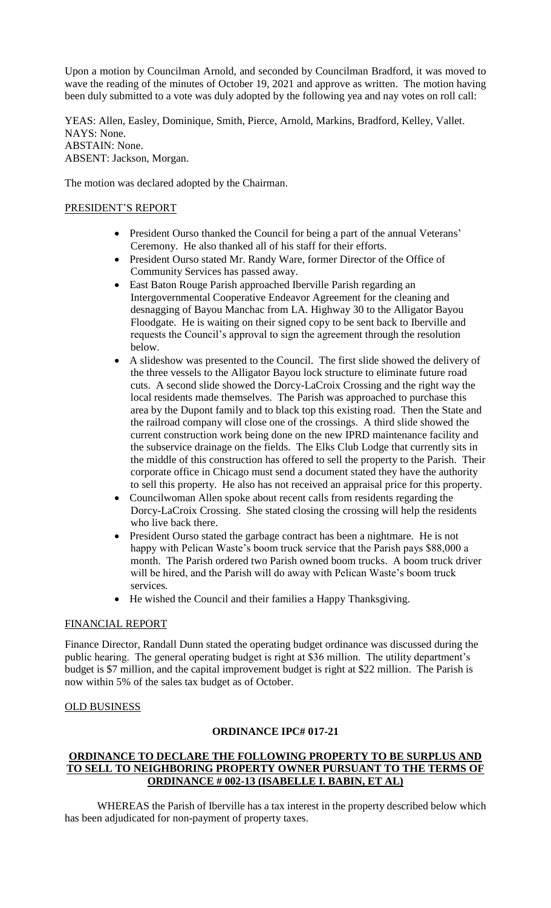Upon a motion by Councilman Arnold, and seconded by Councilman Bradford, it was moved to wave the reading of the minutes of October 19, 2021 and approve as written. The motion having been duly submitted to a vote was duly adopted by the following yea and nay votes on roll call:

YEAS: Allen, Easley, Dominique, Smith, Pierce, Arnold, Markins, Bradford, Kelley, Vallet. NAYS: None. ABSTAIN: None. ABSENT: Jackson, Morgan.

The motion was declared adopted by the Chairman.

# PRESIDENT'S REPORT

- President Ourso thanked the Council for being a part of the annual Veterans' Ceremony. He also thanked all of his staff for their efforts.
- President Ourso stated Mr. Randy Ware, former Director of the Office of Community Services has passed away.
- East Baton Rouge Parish approached Iberville Parish regarding an Intergovernmental Cooperative Endeavor Agreement for the cleaning and desnagging of Bayou Manchac from LA. Highway 30 to the Alligator Bayou Floodgate. He is waiting on their signed copy to be sent back to Iberville and requests the Council's approval to sign the agreement through the resolution below.
- A slideshow was presented to the Council. The first slide showed the delivery of the three vessels to the Alligator Bayou lock structure to eliminate future road cuts. A second slide showed the Dorcy-LaCroix Crossing and the right way the local residents made themselves. The Parish was approached to purchase this area by the Dupont family and to black top this existing road. Then the State and the railroad company will close one of the crossings. A third slide showed the current construction work being done on the new IPRD maintenance facility and the subservice drainage on the fields. The Elks Club Lodge that currently sits in the middle of this construction has offered to sell the property to the Parish. Their corporate office in Chicago must send a document stated they have the authority to sell this property. He also has not received an appraisal price for this property.
- Councilwoman Allen spoke about recent calls from residents regarding the Dorcy-LaCroix Crossing. She stated closing the crossing will help the residents who live back there.
- President Ourso stated the garbage contract has been a nightmare. He is not happy with Pelican Waste's boom truck service that the Parish pays \$88,000 a month. The Parish ordered two Parish owned boom trucks. A boom truck driver will be hired, and the Parish will do away with Pelican Waste's boom truck services.
- He wished the Council and their families a Happy Thanksgiving.

#### FINANCIAL REPORT

Finance Director, Randall Dunn stated the operating budget ordinance was discussed during the public hearing. The general operating budget is right at \$36 million. The utility department's budget is \$7 million, and the capital improvement budget is right at \$22 million. The Parish is now within 5% of the sales tax budget as of October.

#### OLD BUSINESS

## **ORDINANCE IPC# 017-21**

# **ORDINANCE TO DECLARE THE FOLLOWING PROPERTY TO BE SURPLUS AND TO SELL TO NEIGHBORING PROPERTY OWNER PURSUANT TO THE TERMS OF ORDINANCE # 002-13 (ISABELLE I. BABIN, ET AL)**

WHEREAS the Parish of Iberville has a tax interest in the property described below which has been adjudicated for non-payment of property taxes.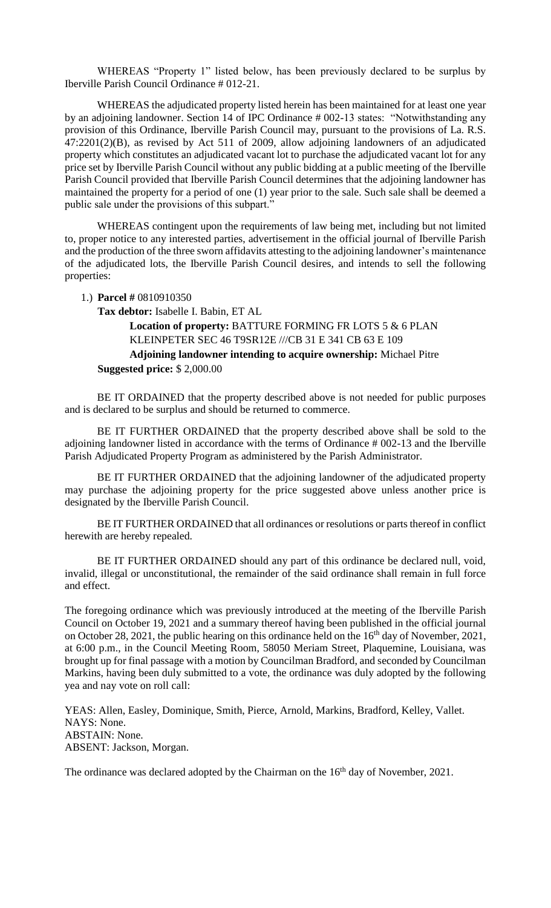WHEREAS "Property 1" listed below, has been previously declared to be surplus by Iberville Parish Council Ordinance # 012-21.

WHEREAS the adjudicated property listed herein has been maintained for at least one year by an adjoining landowner. Section 14 of IPC Ordinance # 002-13 states: "Notwithstanding any provision of this Ordinance, Iberville Parish Council may, pursuant to the provisions of La. R.S. 47:2201(2)(B), as revised by Act 511 of 2009, allow adjoining landowners of an adjudicated property which constitutes an adjudicated vacant lot to purchase the adjudicated vacant lot for any price set by Iberville Parish Council without any public bidding at a public meeting of the Iberville Parish Council provided that Iberville Parish Council determines that the adjoining landowner has maintained the property for a period of one (1) year prior to the sale. Such sale shall be deemed a public sale under the provisions of this subpart."

WHEREAS contingent upon the requirements of law being met, including but not limited to, proper notice to any interested parties, advertisement in the official journal of Iberville Parish and the production of the three sworn affidavits attesting to the adjoining landowner's maintenance of the adjudicated lots, the Iberville Parish Council desires, and intends to sell the following properties:

1.) **Parcel #** 0810910350

**Tax debtor:** Isabelle I. Babin, ET AL

# **Location of property:** BATTURE FORMING FR LOTS 5 & 6 PLAN KLEINPETER SEC 46 T9SR12E ///CB 31 E 341 CB 63 E 109

# **Adjoining landowner intending to acquire ownership:** Michael Pitre **Suggested price:** \$ 2,000.00

BE IT ORDAINED that the property described above is not needed for public purposes and is declared to be surplus and should be returned to commerce.

BE IT FURTHER ORDAINED that the property described above shall be sold to the adjoining landowner listed in accordance with the terms of Ordinance # 002-13 and the Iberville Parish Adjudicated Property Program as administered by the Parish Administrator.

BE IT FURTHER ORDAINED that the adjoining landowner of the adjudicated property may purchase the adjoining property for the price suggested above unless another price is designated by the Iberville Parish Council.

BE IT FURTHER ORDAINED that all ordinances or resolutions or parts thereof in conflict herewith are hereby repealed.

BE IT FURTHER ORDAINED should any part of this ordinance be declared null, void, invalid, illegal or unconstitutional, the remainder of the said ordinance shall remain in full force and effect.

The foregoing ordinance which was previously introduced at the meeting of the Iberville Parish Council on October 19, 2021 and a summary thereof having been published in the official journal on October 28, 2021, the public hearing on this ordinance held on the 16<sup>th</sup> day of November, 2021, at 6:00 p.m., in the Council Meeting Room, 58050 Meriam Street, Plaquemine, Louisiana, was brought up for final passage with a motion by Councilman Bradford, and seconded by Councilman Markins, having been duly submitted to a vote, the ordinance was duly adopted by the following yea and nay vote on roll call:

YEAS: Allen, Easley, Dominique, Smith, Pierce, Arnold, Markins, Bradford, Kelley, Vallet. NAYS: None. ABSTAIN: None. ABSENT: Jackson, Morgan.

The ordinance was declared adopted by the Chairman on the 16<sup>th</sup> day of November, 2021.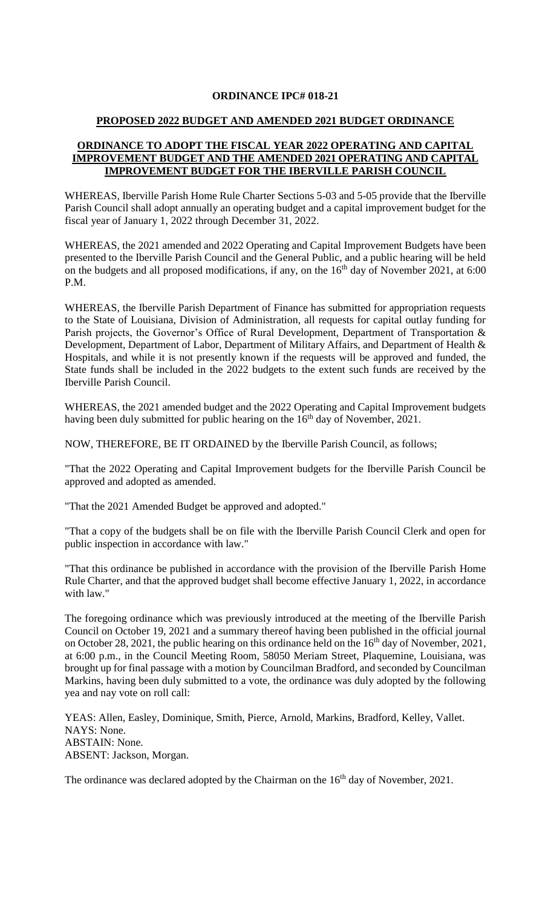# **ORDINANCE IPC# 018-21**

# **PROPOSED 2022 BUDGET AND AMENDED 2021 BUDGET ORDINANCE**

# **ORDINANCE TO ADOPT THE FISCAL YEAR 2022 OPERATING AND CAPITAL IMPROVEMENT BUDGET AND THE AMENDED 2021 OPERATING AND CAPITAL IMPROVEMENT BUDGET FOR THE IBERVILLE PARISH COUNCIL**

WHEREAS, Iberville Parish Home Rule Charter Sections 5-03 and 5-05 provide that the Iberville Parish Council shall adopt annually an operating budget and a capital improvement budget for the fiscal year of January 1, 2022 through December 31, 2022.

WHEREAS, the 2021 amended and 2022 Operating and Capital Improvement Budgets have been presented to the Iberville Parish Council and the General Public, and a public hearing will be held on the budgets and all proposed modifications, if any, on the  $16<sup>th</sup>$  day of November 2021, at 6:00 P.M.

WHEREAS, the Iberville Parish Department of Finance has submitted for appropriation requests to the State of Louisiana, Division of Administration, all requests for capital outlay funding for Parish projects, the Governor's Office of Rural Development, Department of Transportation & Development, Department of Labor, Department of Military Affairs, and Department of Health & Hospitals, and while it is not presently known if the requests will be approved and funded, the State funds shall be included in the 2022 budgets to the extent such funds are received by the Iberville Parish Council.

WHEREAS, the 2021 amended budget and the 2022 Operating and Capital Improvement budgets having been duly submitted for public hearing on the 16<sup>th</sup> day of November, 2021.

NOW, THEREFORE, BE IT ORDAINED by the Iberville Parish Council, as follows;

"That the 2022 Operating and Capital Improvement budgets for the Iberville Parish Council be approved and adopted as amended.

"That the 2021 Amended Budget be approved and adopted."

"That a copy of the budgets shall be on file with the Iberville Parish Council Clerk and open for public inspection in accordance with law."

"That this ordinance be published in accordance with the provision of the Iberville Parish Home Rule Charter, and that the approved budget shall become effective January 1, 2022, in accordance with law."

The foregoing ordinance which was previously introduced at the meeting of the Iberville Parish Council on October 19, 2021 and a summary thereof having been published in the official journal on October 28, 2021, the public hearing on this ordinance held on the  $16<sup>th</sup>$  day of November, 2021, at 6:00 p.m., in the Council Meeting Room, 58050 Meriam Street, Plaquemine, Louisiana, was brought up for final passage with a motion by Councilman Bradford, and seconded by Councilman Markins, having been duly submitted to a vote, the ordinance was duly adopted by the following yea and nay vote on roll call:

YEAS: Allen, Easley, Dominique, Smith, Pierce, Arnold, Markins, Bradford, Kelley, Vallet. NAYS: None. ABSTAIN: None. ABSENT: Jackson, Morgan.

The ordinance was declared adopted by the Chairman on the 16<sup>th</sup> day of November, 2021.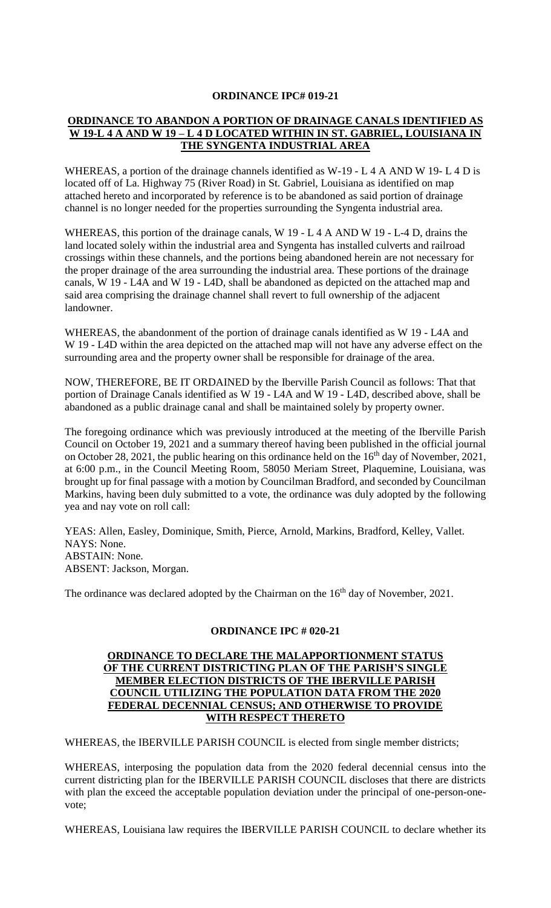#### **ORDINANCE IPC# 019-21**

#### **ORDINANCE TO ABANDON A PORTION OF DRAINAGE CANALS IDENTIFIED AS W 19-L 4 A AND W 19 – L 4 D LOCATED WITHIN IN ST. GABRIEL, LOUISIANA IN THE SYNGENTA INDUSTRIAL AREA**

WHEREAS, a portion of the drainage channels identified as W-19 - L 4 A AND W 19- L 4 D is located off of La. Highway 75 (River Road) in St. Gabriel, Louisiana as identified on map attached hereto and incorporated by reference is to be abandoned as said portion of drainage channel is no longer needed for the properties surrounding the Syngenta industrial area.

WHEREAS, this portion of the drainage canals, W 19 - L 4 A AND W 19 - L 4 D, drains the land located solely within the industrial area and Syngenta has installed culverts and railroad crossings within these channels, and the portions being abandoned herein are not necessary for the proper drainage of the area surrounding the industrial area. These portions of the drainage canals, W 19 - L4A and W 19 - L4D, shall be abandoned as depicted on the attached map and said area comprising the drainage channel shall revert to full ownership of the adjacent landowner.

WHEREAS, the abandonment of the portion of drainage canals identified as W 19 - L4A and W 19 - L4D within the area depicted on the attached map will not have any adverse effect on the surrounding area and the property owner shall be responsible for drainage of the area.

NOW, THEREFORE, BE IT ORDAINED by the Iberville Parish Council as follows: That that portion of Drainage Canals identified as W 19 - L4A and W 19 - L4D, described above, shall be abandoned as a public drainage canal and shall be maintained solely by property owner.

The foregoing ordinance which was previously introduced at the meeting of the Iberville Parish Council on October 19, 2021 and a summary thereof having been published in the official journal on October 28, 2021, the public hearing on this ordinance held on the  $16<sup>th</sup>$  day of November, 2021, at 6:00 p.m., in the Council Meeting Room, 58050 Meriam Street, Plaquemine, Louisiana, was brought up for final passage with a motion by Councilman Bradford, and seconded by Councilman Markins, having been duly submitted to a vote, the ordinance was duly adopted by the following yea and nay vote on roll call:

YEAS: Allen, Easley, Dominique, Smith, Pierce, Arnold, Markins, Bradford, Kelley, Vallet. NAYS: None. ABSTAIN: None. ABSENT: Jackson, Morgan.

The ordinance was declared adopted by the Chairman on the  $16<sup>th</sup>$  day of November, 2021.

#### **ORDINANCE IPC # 020-21**

#### **ORDINANCE TO DECLARE THE MALAPPORTIONMENT STATUS OF THE CURRENT DISTRICTING PLAN OF THE PARISH'S SINGLE MEMBER ELECTION DISTRICTS OF THE IBERVILLE PARISH COUNCIL UTILIZING THE POPULATION DATA FROM THE 2020 FEDERAL DECENNIAL CENSUS; AND OTHERWISE TO PROVIDE WITH RESPECT THERETO**

WHEREAS, the IBERVILLE PARISH COUNCIL is elected from single member districts;

WHEREAS, interposing the population data from the 2020 federal decennial census into the current districting plan for the IBERVILLE PARISH COUNCIL discloses that there are districts with plan the exceed the acceptable population deviation under the principal of one-person-onevote;

WHEREAS, Louisiana law requires the IBERVILLE PARISH COUNCIL to declare whether its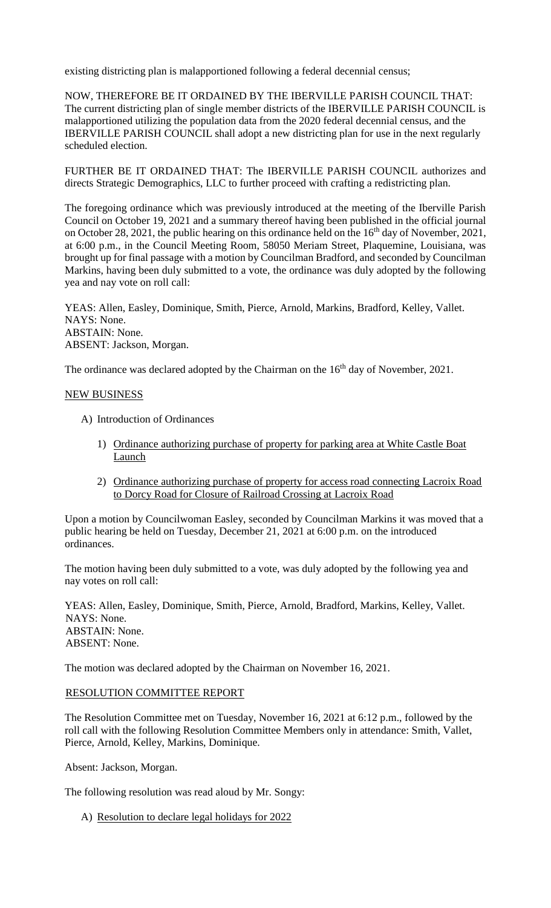existing districting plan is malapportioned following a federal decennial census;

NOW, THEREFORE BE IT ORDAINED BY THE IBERVILLE PARISH COUNCIL THAT: The current districting plan of single member districts of the IBERVILLE PARISH COUNCIL is malapportioned utilizing the population data from the 2020 federal decennial census, and the IBERVILLE PARISH COUNCIL shall adopt a new districting plan for use in the next regularly scheduled election.

FURTHER BE IT ORDAINED THAT: The IBERVILLE PARISH COUNCIL authorizes and directs Strategic Demographics, LLC to further proceed with crafting a redistricting plan.

The foregoing ordinance which was previously introduced at the meeting of the Iberville Parish Council on October 19, 2021 and a summary thereof having been published in the official journal on October 28, 2021, the public hearing on this ordinance held on the  $16<sup>th</sup>$  day of November, 2021, at 6:00 p.m., in the Council Meeting Room, 58050 Meriam Street, Plaquemine, Louisiana, was brought up for final passage with a motion by Councilman Bradford, and seconded by Councilman Markins, having been duly submitted to a vote, the ordinance was duly adopted by the following yea and nay vote on roll call:

YEAS: Allen, Easley, Dominique, Smith, Pierce, Arnold, Markins, Bradford, Kelley, Vallet. NAYS: None. ABSTAIN: None. ABSENT: Jackson, Morgan.

The ordinance was declared adopted by the Chairman on the 16<sup>th</sup> day of November, 2021.

#### NEW BUSINESS

- A) Introduction of Ordinances
	- 1) Ordinance authorizing purchase of property for parking area at White Castle Boat Launch
	- 2) Ordinance authorizing purchase of property for access road connecting Lacroix Road to Dorcy Road for Closure of Railroad Crossing at Lacroix Road

Upon a motion by Councilwoman Easley, seconded by Councilman Markins it was moved that a public hearing be held on Tuesday, December 21, 2021 at 6:00 p.m. on the introduced ordinances.

The motion having been duly submitted to a vote, was duly adopted by the following yea and nay votes on roll call:

YEAS: Allen, Easley, Dominique, Smith, Pierce, Arnold, Bradford, Markins, Kelley, Vallet. NAYS: None. ABSTAIN: None. ABSENT: None.

The motion was declared adopted by the Chairman on November 16, 2021.

#### RESOLUTION COMMITTEE REPORT

The Resolution Committee met on Tuesday, November 16, 2021 at 6:12 p.m., followed by the roll call with the following Resolution Committee Members only in attendance: Smith, Vallet, Pierce, Arnold, Kelley, Markins, Dominique.

Absent: Jackson, Morgan.

The following resolution was read aloud by Mr. Songy:

A) Resolution to declare legal holidays for 2022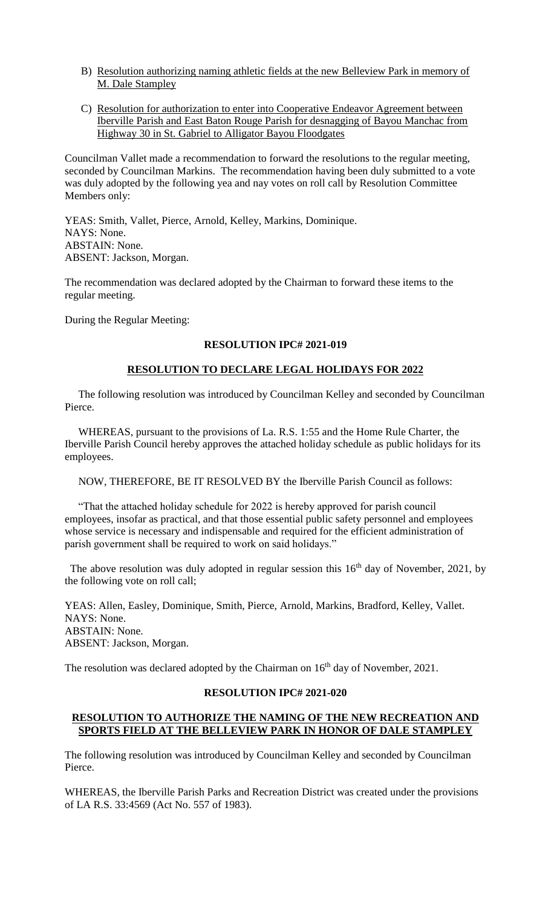- B) Resolution authorizing naming athletic fields at the new Belleview Park in memory of M. Dale Stampley
- C) Resolution for authorization to enter into Cooperative Endeavor Agreement between Iberville Parish and East Baton Rouge Parish for desnagging of Bayou Manchac from Highway 30 in St. Gabriel to Alligator Bayou Floodgates

Councilman Vallet made a recommendation to forward the resolutions to the regular meeting, seconded by Councilman Markins. The recommendation having been duly submitted to a vote was duly adopted by the following yea and nay votes on roll call by Resolution Committee Members only:

YEAS: Smith, Vallet, Pierce, Arnold, Kelley, Markins, Dominique. NAYS: None. ABSTAIN: None. ABSENT: Jackson, Morgan.

The recommendation was declared adopted by the Chairman to forward these items to the regular meeting.

During the Regular Meeting:

# **RESOLUTION IPC# 2021-019**

## **RESOLUTION TO DECLARE LEGAL HOLIDAYS FOR 2022**

 The following resolution was introduced by Councilman Kelley and seconded by Councilman Pierce.

 WHEREAS, pursuant to the provisions of La. R.S. 1:55 and the Home Rule Charter, the Iberville Parish Council hereby approves the attached holiday schedule as public holidays for its employees.

NOW, THEREFORE, BE IT RESOLVED BY the Iberville Parish Council as follows:

 "That the attached holiday schedule for 2022 is hereby approved for parish council employees, insofar as practical, and that those essential public safety personnel and employees whose service is necessary and indispensable and required for the efficient administration of parish government shall be required to work on said holidays."

The above resolution was duly adopted in regular session this  $16<sup>th</sup>$  day of November, 2021, by the following vote on roll call;

YEAS: Allen, Easley, Dominique, Smith, Pierce, Arnold, Markins, Bradford, Kelley, Vallet. NAYS: None. ABSTAIN: None. ABSENT: Jackson, Morgan.

The resolution was declared adopted by the Chairman on  $16<sup>th</sup>$  day of November, 2021.

#### **RESOLUTION IPC# 2021-020**

## **RESOLUTION TO AUTHORIZE THE NAMING OF THE NEW RECREATION AND SPORTS FIELD AT THE BELLEVIEW PARK IN HONOR OF DALE STAMPLEY**

The following resolution was introduced by Councilman Kelley and seconded by Councilman Pierce.

WHEREAS, the Iberville Parish Parks and Recreation District was created under the provisions of LA R.S. 33:4569 (Act No. 557 of 1983).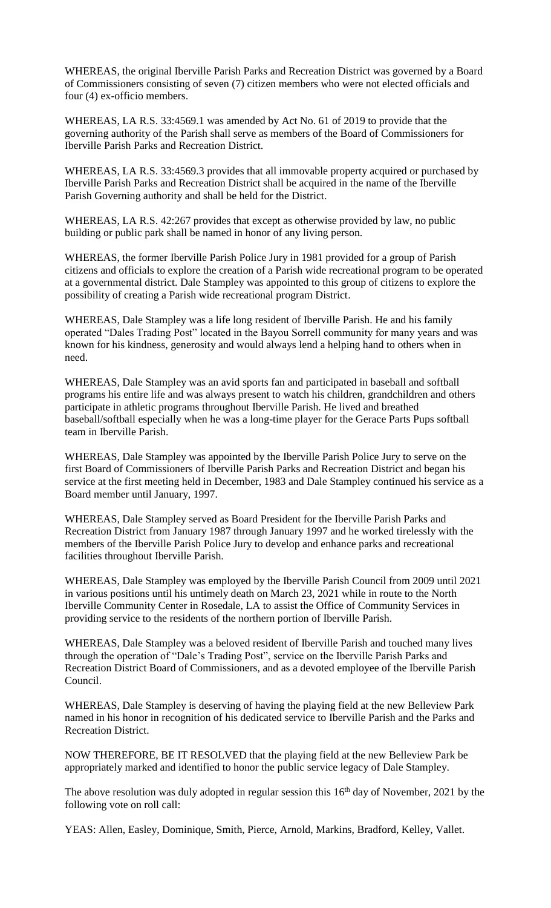WHEREAS, the original Iberville Parish Parks and Recreation District was governed by a Board of Commissioners consisting of seven (7) citizen members who were not elected officials and four (4) ex-officio members.

WHEREAS, LA R.S. 33:4569.1 was amended by Act No. 61 of 2019 to provide that the governing authority of the Parish shall serve as members of the Board of Commissioners for Iberville Parish Parks and Recreation District.

WHEREAS, LA R.S. 33:4569.3 provides that all immovable property acquired or purchased by Iberville Parish Parks and Recreation District shall be acquired in the name of the Iberville Parish Governing authority and shall be held for the District.

WHEREAS, LA R.S. 42:267 provides that except as otherwise provided by law, no public building or public park shall be named in honor of any living person.

WHEREAS, the former Iberville Parish Police Jury in 1981 provided for a group of Parish citizens and officials to explore the creation of a Parish wide recreational program to be operated at a governmental district. Dale Stampley was appointed to this group of citizens to explore the possibility of creating a Parish wide recreational program District.

WHEREAS, Dale Stampley was a life long resident of Iberville Parish. He and his family operated "Dales Trading Post" located in the Bayou Sorrell community for many years and was known for his kindness, generosity and would always lend a helping hand to others when in need.

WHEREAS, Dale Stampley was an avid sports fan and participated in baseball and softball programs his entire life and was always present to watch his children, grandchildren and others participate in athletic programs throughout Iberville Parish. He lived and breathed baseball/softball especially when he was a long-time player for the Gerace Parts Pups softball team in Iberville Parish.

WHEREAS, Dale Stampley was appointed by the Iberville Parish Police Jury to serve on the first Board of Commissioners of Iberville Parish Parks and Recreation District and began his service at the first meeting held in December, 1983 and Dale Stampley continued his service as a Board member until January, 1997.

WHEREAS, Dale Stampley served as Board President for the Iberville Parish Parks and Recreation District from January 1987 through January 1997 and he worked tirelessly with the members of the Iberville Parish Police Jury to develop and enhance parks and recreational facilities throughout Iberville Parish.

WHEREAS, Dale Stampley was employed by the Iberville Parish Council from 2009 until 2021 in various positions until his untimely death on March 23, 2021 while in route to the North Iberville Community Center in Rosedale, LA to assist the Office of Community Services in providing service to the residents of the northern portion of Iberville Parish.

WHEREAS, Dale Stampley was a beloved resident of Iberville Parish and touched many lives through the operation of "Dale's Trading Post", service on the Iberville Parish Parks and Recreation District Board of Commissioners, and as a devoted employee of the Iberville Parish Council.

WHEREAS, Dale Stampley is deserving of having the playing field at the new Belleview Park named in his honor in recognition of his dedicated service to Iberville Parish and the Parks and Recreation District.

NOW THEREFORE, BE IT RESOLVED that the playing field at the new Belleview Park be appropriately marked and identified to honor the public service legacy of Dale Stampley.

The above resolution was duly adopted in regular session this  $16<sup>th</sup>$  day of November, 2021 by the following vote on roll call:

YEAS: Allen, Easley, Dominique, Smith, Pierce, Arnold, Markins, Bradford, Kelley, Vallet.